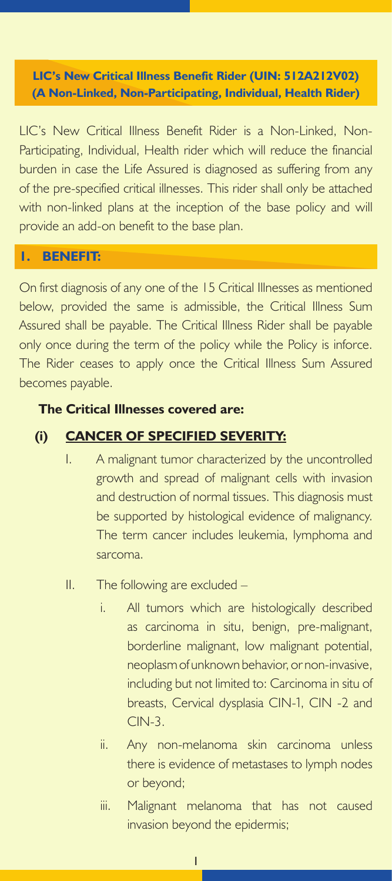**LIC's New Critical Illness Benefit Rider (UIN: 512A212V02) (A Non-Linked, Non-Participating, Individual, Health Rider)**

LIC's New Critical Illness Benefit Rider is a Non-Linked, Non-Participating, Individual, Health rider which will reduce the financial burden in case the Life Assured is diagnosed as suffering from any of the pre-specified critical illnesses. This rider shall only be attached with non-linked plans at the inception of the base policy and will provide an add-on benefit to the base plan.

#### **1. BENEFIT:**

On first diagnosis of any one of the 15 Critical Illnesses as mentioned below, provided the same is admissible, the Critical Illness Sum Assured shall be payable. The Critical Illness Rider shall be payable only once during the term of the policy while the Policy is inforce. The Rider ceases to apply once the Critical Illness Sum Assured becomes payable.

#### **The Critical Illnesses covered are:**

#### **(i) CANCER OF SPECIFIED SEVERITY:**

- I. A malignant tumor characterized by the uncontrolled growth and spread of malignant cells with invasion and destruction of normal tissues. This diagnosis must be supported by histological evidence of malignancy. The term cancer includes leukemia, lymphoma and sarcoma.
- II. The following are excluded
	- i. All tumors which are histologically described as carcinoma in situ, benign, pre-malignant, borderline malignant, low malignant potential, neoplasm of unknown behavior, or non-invasive, including but not limited to: Carcinoma in situ of breasts, Cervical dysplasia CIN-1, CIN -2 and CIN-3.
	- ii. Any non-melanoma skin carcinoma unless there is evidence of metastases to lymph nodes or beyond;
	- iii. Malignant melanoma that has not caused invasion beyond the epidermis;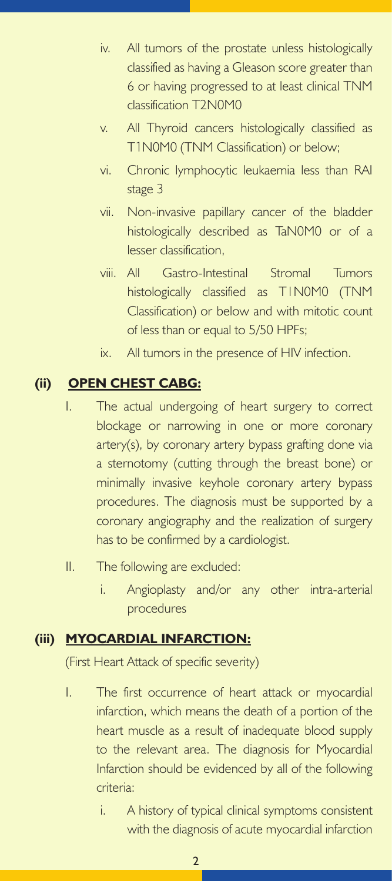- iv. All tumors of the prostate unless histologically classified as having a Gleason score greater than 6 or having progressed to at least clinical TNM classification T2N0M0
- v. All Thyroid cancers histologically classified as T1N0M0 (TNM Classification) or below;
- vi. Chronic lymphocytic leukaemia less than RAI stage 3
- vii. Non-invasive papillary cancer of the bladder histologically described as TaN0M0 or of a lesser classification,
- viii. All Gastro-Intestinal Stromal Tumors histologically classified as T1N0M0 (TNM Classification) or below and with mitotic count of less than or equal to 5/50 HPFs;
- ix. All tumors in the presence of HIV infection.

### **(ii) OPEN CHEST CABG:**

- I. The actual undergoing of heart surgery to correct blockage or narrowing in one or more coronary artery(s), by coronary artery bypass grafting done via a sternotomy (cutting through the breast bone) or minimally invasive keyhole coronary artery bypass procedures. The diagnosis must be supported by a coronary angiography and the realization of surgery has to be confirmed by a cardiologist.
- II. The following are excluded:
	- i. Angioplasty and/or any other intra-arterial procedures

## **(iii) MYOCARDIAL INFARCTION:**

(First Heart Attack of specific severity)

- I. The first occurrence of heart attack or myocardial infarction, which means the death of a portion of the heart muscle as a result of inadequate blood supply to the relevant area. The diagnosis for Myocardial Infarction should be evidenced by all of the following criteria:
	- i. A history of typical clinical symptoms consistent with the diagnosis of acute myocardial infarction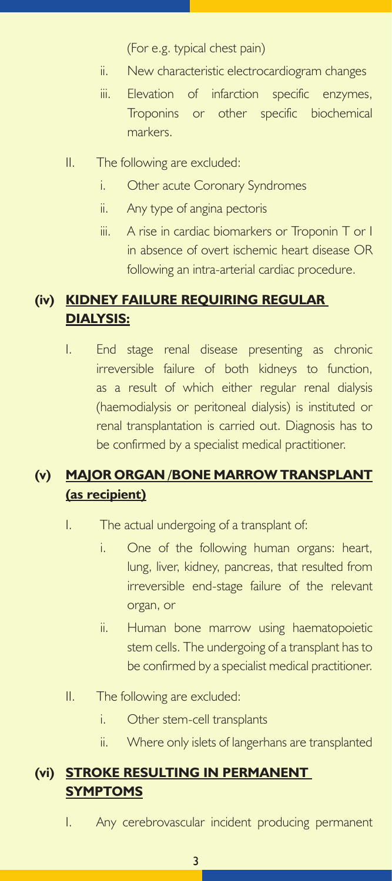(For e.g. typical chest pain)

- ii. New characteristic electrocardiogram changes
- iii. Elevation of infarction specific enzymes, Troponins or other specific biochemical markers.
- II. The following are excluded:
	- i. Other acute Coronary Syndromes
	- ii. Any type of angina pectoris
	- iii. A rise in cardiac biomarkers or Troponin T or I in absence of overt ischemic heart disease OR following an intra-arterial cardiac procedure.

### **(iv) KIDNEY FAILURE REQUIRING REGULAR DIALYSIS:**

I. End stage renal disease presenting as chronic irreversible failure of both kidneys to function, as a result of which either regular renal dialysis (haemodialysis or peritoneal dialysis) is instituted or renal transplantation is carried out. Diagnosis has to be confirmed by a specialist medical practitioner.

## **(v) MAJOR ORGAN /BONE MARROW TRANSPLANT (as recipient)**

- I. The actual undergoing of a transplant of:
	- i. One of the following human organs: heart, lung, liver, kidney, pancreas, that resulted from irreversible end-stage failure of the relevant organ, or
	- ii. Human bone marrow using haematopoietic stem cells. The undergoing of a transplant has to be confirmed by a specialist medical practitioner.
- II. The following are excluded:
	- i. Other stem-cell transplants
	- ii. Where only islets of langerhans are transplanted

## **(vi) STROKE RESULTING IN PERMANENT SYMPTOMS**

I. Any cerebrovascular incident producing permanent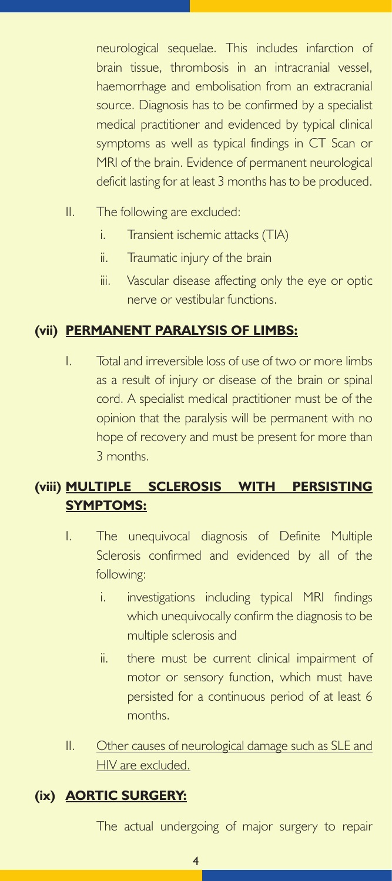neurological sequelae. This includes infarction of brain tissue, thrombosis in an intracranial vessel, haemorrhage and embolisation from an extracranial source. Diagnosis has to be confirmed by a specialist medical practitioner and evidenced by typical clinical symptoms as well as typical findings in CT Scan or MRI of the brain. Evidence of permanent neurological deficit lasting for at least 3 months has to be produced.

- II. The following are excluded:
	- i. Transient ischemic attacks (TIA)
	- ii. Traumatic injury of the brain
	- iii. Vascular disease affecting only the eye or optic nerve or vestibular functions.

## **(vii) PERMANENT PARALYSIS OF LIMBS:**

I. Total and irreversible loss of use of two or more limbs as a result of injury or disease of the brain or spinal cord. A specialist medical practitioner must be of the opinion that the paralysis will be permanent with no hope of recovery and must be present for more than 3 months.

## **(viii) MULTIPLE SCLEROSIS WITH PERSISTING SYMPTOMS:**

- I. The unequivocal diagnosis of Definite Multiple Sclerosis confirmed and evidenced by all of the following:
	- i. investigations including typical MRI findings which unequivocally confirm the diagnosis to be multiple sclerosis and
	- ii. there must be current clinical impairment of motor or sensory function, which must have persisted for a continuous period of at least 6 months.
- II. Other causes of neurological damage such as SLE and HIV are excluded.

## **(ix) AORTIC SURGERY:**

The actual undergoing of major surgery to repair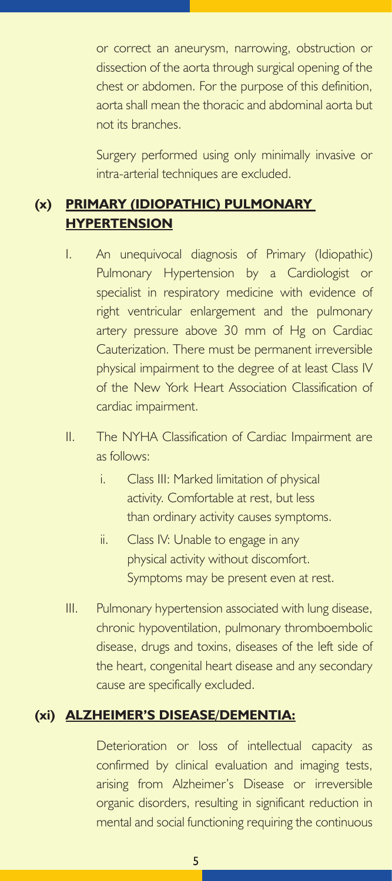or correct an aneurysm, narrowing, obstruction or dissection of the aorta through surgical opening of the chest or abdomen. For the purpose of this definition, aorta shall mean the thoracic and abdominal aorta but not its branches.

Surgery performed using only minimally invasive or intra-arterial techniques are excluded.

# **(x) PRIMARY (IDIOPATHIC) PULMONARY HYPERTENSION**

- I. An unequivocal diagnosis of Primary (Idiopathic) Pulmonary Hypertension by a Cardiologist or specialist in respiratory medicine with evidence of right ventricular enlargement and the pulmonary artery pressure above 30 mm of Hg on Cardiac Cauterization. There must be permanent irreversible physical impairment to the degree of at least Class IV of the New York Heart Association Classification of cardiac impairment.
- II. The NYHA Classification of Cardiac Impairment are as follows:
	- i. Class III: Marked limitation of physical activity. Comfortable at rest, but less than ordinary activity causes symptoms.
	- ii. Class IV: Unable to engage in any physical activity without discomfort. Symptoms may be present even at rest.
- III. Pulmonary hypertension associated with lung disease, chronic hypoventilation, pulmonary thromboembolic disease, drugs and toxins, diseases of the left side of the heart, congenital heart disease and any secondary cause are specifically excluded.

### **(xi) ALZHEIMER'S DISEASE/DEMENTIA:**

Deterioration or loss of intellectual capacity as confirmed by clinical evaluation and imaging tests, arising from Alzheimer's Disease or irreversible organic disorders, resulting in significant reduction in mental and social functioning requiring the continuous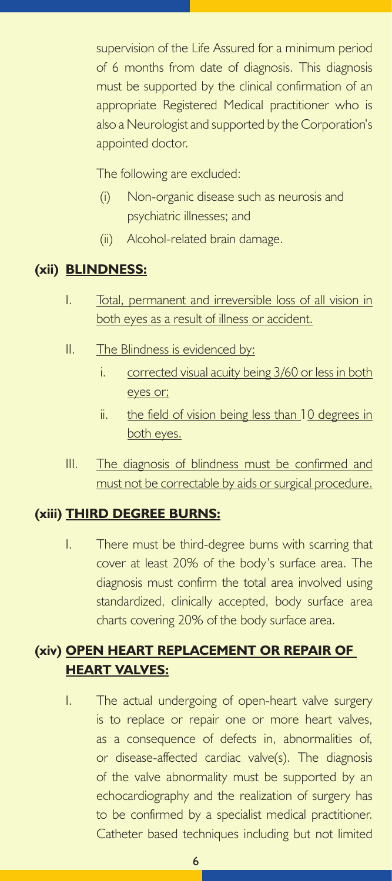supervision of the Life Assured for a minimum period of 6 months from date of diagnosis. This diagnosis must be supported by the clinical confirmation of an appropriate Registered Medical practitioner who is also a Neurologist and supported by the Corporation's appointed doctor.

The following are excluded:

- (i) Non-organic disease such as neurosis and psychiatric illnesses; and
- (ii) Alcohol-related brain damage.

### **(xii) BLINDNESS:**

- I. Total, permanent and irreversible loss of all vision in both eyes as a result of illness or accident.
- II. The Blindness is evidenced by:
	- i. corrected visual acuity being 3/60 or less in both eyes or;
	- ii. the field of vision being less than 10 degrees in both eyes.
- III. The diagnosis of blindness must be confirmed and must not be correctable by aids or surgical procedure.

## **(xiii) THIRD DEGREE BURNS:**

I. There must be third-degree burns with scarring that cover at least 20% of the body's surface area. The diagnosis must confirm the total area involved using standardized, clinically accepted, body surface area charts covering 20% of the body surface area.

# **(xiv) OPEN HEART REPLACEMENT OR REPAIR OF HEART VALVES:**

I. The actual undergoing of open-heart valve surgery is to replace or repair one or more heart valves, as a consequence of defects in, abnormalities of, or disease-affected cardiac valve(s). The diagnosis of the valve abnormality must be supported by an echocardiography and the realization of surgery has to be confirmed by a specialist medical practitioner. Catheter based techniques including but not limited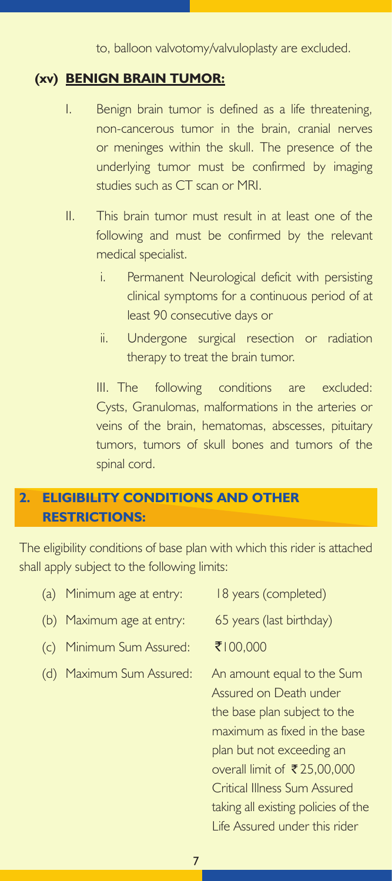to, balloon valvotomy/valvuloplasty are excluded.

#### **(xv) BENIGN BRAIN TUMOR:**

- I. Benign brain tumor is defined as a life threatening, non-cancerous tumor in the brain, cranial nerves or meninges within the skull. The presence of the underlying tumor must be confirmed by imaging studies such as CT scan or MRI.
- II. This brain tumor must result in at least one of the following and must be confirmed by the relevant medical specialist.
	- i. Permanent Neurological deficit with persisting clinical symptoms for a continuous period of at least 90 consecutive days or
	- ii. Undergone surgical resection or radiation therapy to treat the brain tumor.

III. The following conditions are excluded: Cysts, Granulomas, malformations in the arteries or veins of the brain, hematomas, abscesses, pituitary tumors, tumors of skull bones and tumors of the spinal cord.

## **2. ELIGIBILITY CONDITIONS AND OTHER RESTRICTIONS:**

The eligibility conditions of base plan with which this rider is attached shall apply subject to the following limits:

| (a) | Minimum age at entry:     | 18 years (completed)                                                                                                                                                                                                                                                                     |
|-----|---------------------------|------------------------------------------------------------------------------------------------------------------------------------------------------------------------------------------------------------------------------------------------------------------------------------------|
|     | (b) Maximum age at entry: | 65 years (last birthday)                                                                                                                                                                                                                                                                 |
| (C) | Minimum Sum Assured:      | ₹100,000                                                                                                                                                                                                                                                                                 |
|     | (d) Maximum Sum Assured:  | An amount equal to the Sum<br>Assured on Death under<br>the base plan subject to the<br>maximum as fixed in the base<br>plan but not exceeding an<br>overall limit of ₹25,00,000<br>Critical Illness Sum Assured<br>taking all existing policies of the<br>Life Assured under this rider |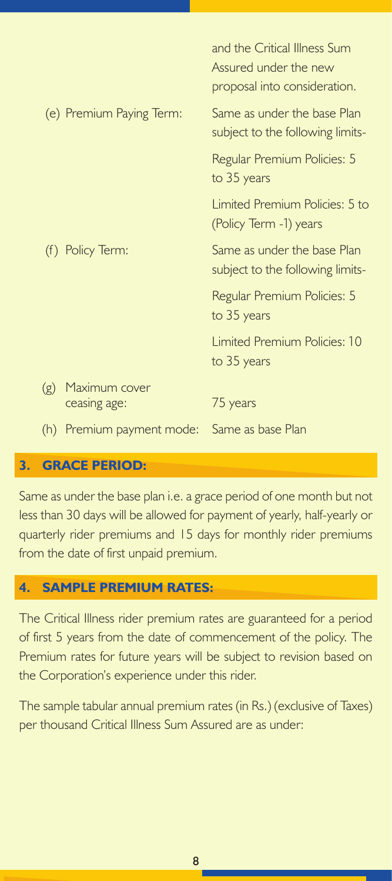|                                                | and the Critical Illness Sum<br>Assured under the new<br>proposal into consideration. |
|------------------------------------------------|---------------------------------------------------------------------------------------|
| (e) Premium Paying Term:                       | Same as under the base Plan<br>subject to the following limits-                       |
|                                                | Regular Premium Policies: 5<br>to 35 years                                            |
|                                                | Limited Premium Policies: 5 to<br>(Policy Term -1) years                              |
| (f) Policy Term:                               | Same as under the base Plan<br>subject to the following limits-                       |
|                                                | Regular Premium Policies: 5<br>to 35 years                                            |
|                                                | <b>Limited Premium Policies: 10</b><br>to 35 years                                    |
| Maximum cover<br>(g)<br>ceasing age:           | 75 years                                                                              |
| Premium payment mode: Same as base Plan<br>(h) |                                                                                       |

### **3. GRACE PERIOD:**

Same as under the base plan i.e. a grace period of one month but not less than 30 days will be allowed for payment of yearly, half-yearly or quarterly rider premiums and 15 days for monthly rider premiums from the date of first unpaid premium.

#### **4. SAMPLE PREMIUM RATES:**

The Critical Illness rider premium rates are guaranteed for a period of first 5 years from the date of commencement of the policy. The Premium rates for future years will be subject to revision based on the Corporation's experience under this rider.

The sample tabular annual premium rates (in Rs.) (exclusive of Taxes) per thousand Critical Illness Sum Assured are as under: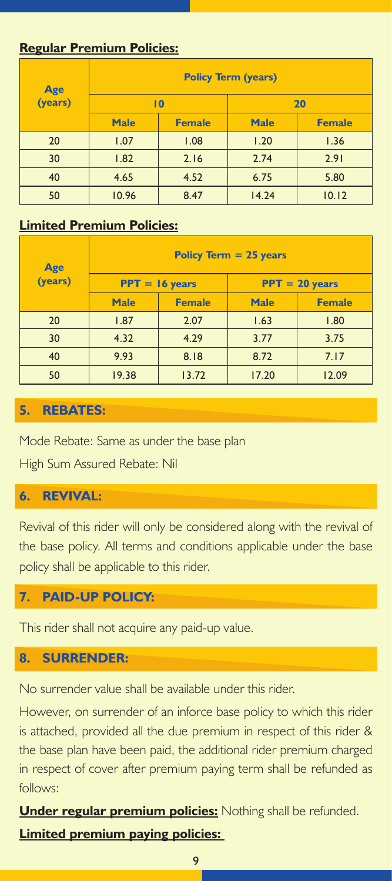### **Regular Premium Policies:**

|                | <b>Policy Term (years)</b> |               |             |               |  |
|----------------|----------------------------|---------------|-------------|---------------|--|
| Age<br>(years) | $\overline{10}$            |               | 20          |               |  |
|                | <b>Male</b>                | <b>Female</b> | <b>Male</b> | <b>Female</b> |  |
| 20             | 1.07                       | 1.08          | 1.20        | 1.36          |  |
| 30             | 1.82                       | 2.16          | 2.74        | 2.91          |  |
| 40             | 4.65                       | 4.52          | 6.75        | 5.80          |  |
| 50             | 10.96                      | 8.47          | 14.24       | 10.12         |  |

### **Limited Premium Policies:**

|                | Policy Term $= 25$ years |               |                  |               |  |
|----------------|--------------------------|---------------|------------------|---------------|--|
| Age<br>(years) | $PPT = 16$ years         |               | $PPT = 20$ years |               |  |
|                | <b>Male</b>              | <b>Female</b> | <b>Male</b>      | <b>Female</b> |  |
| 20             | 1.87                     | 2.07          | 1.63             | 1.80          |  |
| 30             | 4.32                     | 4.29          | 3.77             | 3.75          |  |
| 40             | 9.93                     | 8.18          | 8.72             | 7.17          |  |
| 50             | 19.38                    | 13.72         | 17.20            | 12.09         |  |

### **5. REBATES:**

Mode Rebate: Same as under the base plan

High Sum Assured Rebate: Nil

## **6. REVIVAL:**

Revival of this rider will only be considered along with the revival of the base policy. All terms and conditions applicable under the base policy shall be applicable to this rider.

### **7. PAID-UP POLICY:**

This rider shall not acquire any paid-up value.

### **8. SURRENDER:**

No surrender value shall be available under this rider.

However, on surrender of an inforce base policy to which this rider is attached, provided all the due premium in respect of this rider & the base plan have been paid, the additional rider premium charged in respect of cover after premium paying term shall be refunded as follows:

**Under regular premium policies:** Nothing shall be refunded. **Limited premium paying policies:**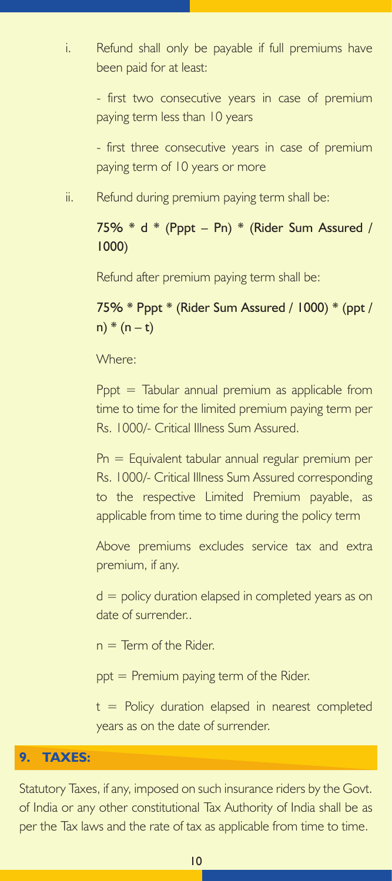i. Refund shall only be payable if full premiums have been paid for at least:

> - first two consecutive years in case of premium paying term less than 10 years

> - first three consecutive years in case of premium paying term of 10 years or more

ii. Refund during premium paying term shall be:

75% \* d \* (Pppt – Pn) \* (Rider Sum Assured / 1000)

Refund after premium paying term shall be:

75% \* Pppt \* (Rider Sum Assured / 1000) \* (ppt /  $n) * (n - t)$ 

Where:

Pppt  $=$  Tabular annual premium as applicable from time to time for the limited premium paying term per Rs. 1000/- Critical Illness Sum Assured.

Pn = Equivalent tabular annual regular premium per Rs. 1000/- Critical Illness Sum Assured corresponding to the respective Limited Premium payable, as applicable from time to time during the policy term

Above premiums excludes service tax and extra premium, if any.

 $d =$  policy duration elapsed in completed years as on date of surrender..

 $n =$  Term of the Rider.

ppt = Premium paying term of the Rider.

 $t =$  Policy duration elapsed in nearest completed years as on the date of surrender.

#### **9. TAXES:**

Statutory Taxes, if any, imposed on such insurance riders by the Govt. of India or any other constitutional Tax Authority of India shall be as per the Tax laws and the rate of tax as applicable from time to time.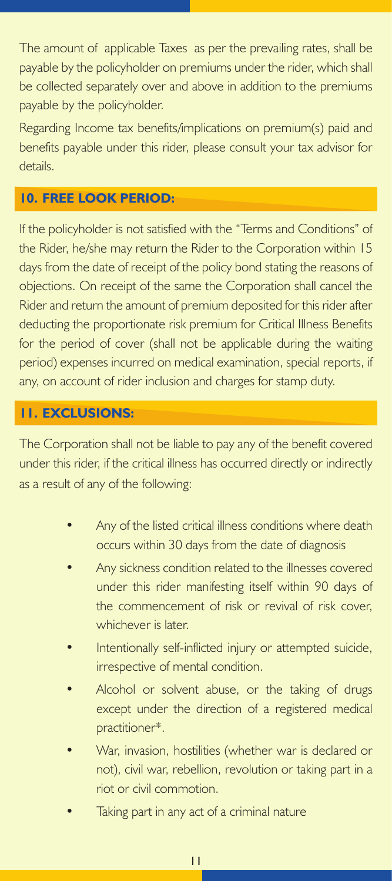The amount of applicable Taxes as per the prevailing rates, shall be payable by the policyholder on premiums under the rider, which shall be collected separately over and above in addition to the premiums payable by the policyholder.

Regarding Income tax benefits/implications on premium(s) paid and benefits payable under this rider, please consult your tax advisor for details.

### **10. FREE LOOK PERIOD:**

If the policyholder is not satisfied with the "Terms and Conditions" of the Rider, he/she may return the Rider to the Corporation within 15 days from the date of receipt of the policy bond stating the reasons of objections. On receipt of the same the Corporation shall cancel the Rider and return the amount of premium deposited for this rider after deducting the proportionate risk premium for Critical Illness Benefits for the period of cover (shall not be applicable during the waiting period) expenses incurred on medical examination, special reports, if any, on account of rider inclusion and charges for stamp duty.

### **11. EXCLUSIONS:**

The Corporation shall not be liable to pay any of the benefit covered under this rider, if the critical illness has occurred directly or indirectly as a result of any of the following:

- Any of the listed critical illness conditions where death occurs within 30 days from the date of diagnosis
- Any sickness condition related to the illnesses covered under this rider manifesting itself within 90 days of the commencement of risk or revival of risk cover, whichever is later.
- Intentionally self-inflicted injury or attempted suicide, irrespective of mental condition.
- Alcohol or solvent abuse, or the taking of drugs except under the direction of a registered medical practitioner\*.
- War, invasion, hostilities (whether war is declared or not), civil war, rebellion, revolution or taking part in a riot or civil commotion.
- Taking part in any act of a criminal nature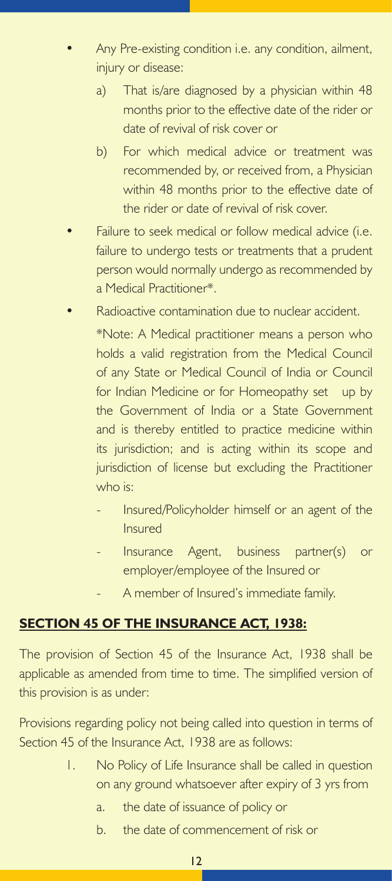- Any Pre-existing condition i.e. any condition, ailment, injury or disease:
	- a) That is/are diagnosed by a physician within 48 months prior to the effective date of the rider or date of revival of risk cover or
	- b) For which medical advice or treatment was recommended by, or received from, a Physician within 48 months prior to the effective date of the rider or date of revival of risk cover.
- Failure to seek medical or follow medical advice (i.e. failure to undergo tests or treatments that a prudent person would normally undergo as recommended by a Medical Practitioner\*.
	- Radioactive contamination due to nuclear accident. \*Note: A Medical practitioner means a person who holds a valid registration from the Medical Council of any State or Medical Council of India or Council for Indian Medicine or for Homeopathy set up by the Government of India or a State Government and is thereby entitled to practice medicine within its jurisdiction; and is acting within its scope and jurisdiction of license but excluding the Practitioner who is:
		- Insured/Policyholder himself or an agent of the Insured
		- Insurance Agent, business partner(s) or employer/employee of the Insured or
		- A member of Insured's immediate family.

# **SECTION 45 OF THE INSURANCE ACT, 1938:**

The provision of Section 45 of the Insurance Act, 1938 shall be applicable as amended from time to time. The simplified version of this provision is as under:

Provisions regarding policy not being called into question in terms of Section 45 of the Insurance Act, 1938 are as follows:

- 1. No Policy of Life Insurance shall be called in question on any ground whatsoever after expiry of 3 yrs from
	- a. the date of issuance of policy or
	- b. the date of commencement of risk or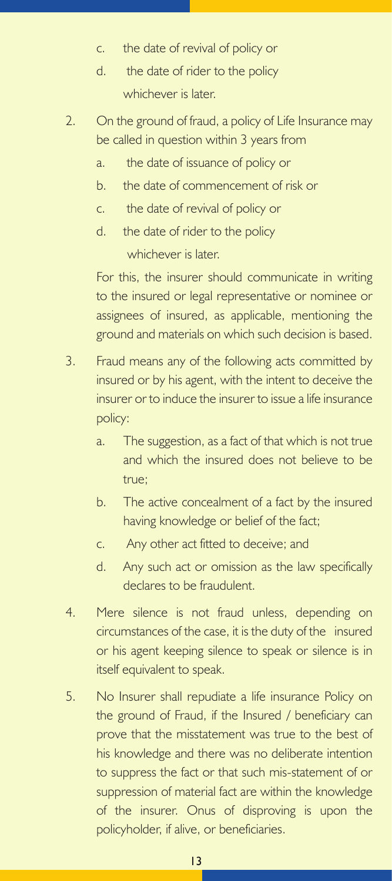- c. the date of revival of policy or
- d. the date of rider to the policy whichever is later.
- 2. On the ground of fraud, a policy of Life Insurance may be called in question within 3 years from
	- a. the date of issuance of policy or
	- b. the date of commencement of risk or
	- c. the date of revival of policy or
	- d. the date of rider to the policy

whichever is later.

For this, the insurer should communicate in writing to the insured or legal representative or nominee or assignees of insured, as applicable, mentioning the ground and materials on which such decision is based.

- 3. Fraud means any of the following acts committed by insured or by his agent, with the intent to deceive the insurer or to induce the insurer to issue a life insurance policy:
	- a. The suggestion, as a fact of that which is not true and which the insured does not believe to be true;
	- b. The active concealment of a fact by the insured having knowledge or belief of the fact;
	- c. Any other act fitted to deceive; and
	- d. Any such act or omission as the law specifically declares to be fraudulent.
- 4. Mere silence is not fraud unless, depending on circumstances of the case, it is the duty of the insured or his agent keeping silence to speak or silence is in itself equivalent to speak.
- 5. No Insurer shall repudiate a life insurance Policy on the ground of Fraud, if the Insured / beneficiary can prove that the misstatement was true to the best of his knowledge and there was no deliberate intention to suppress the fact or that such mis-statement of or suppression of material fact are within the knowledge of the insurer. Onus of disproving is upon the policyholder, if alive, or beneficiaries.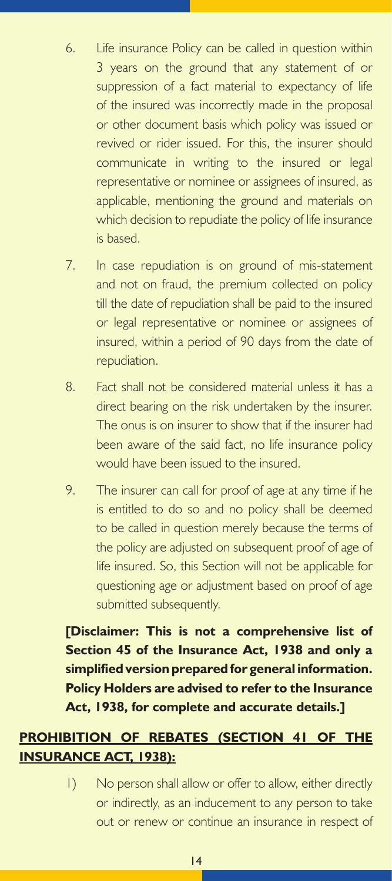- 6. Life insurance Policy can be called in question within 3 years on the ground that any statement of or suppression of a fact material to expectancy of life of the insured was incorrectly made in the proposal or other document basis which policy was issued or revived or rider issued. For this, the insurer should communicate in writing to the insured or legal representative or nominee or assignees of insured, as applicable, mentioning the ground and materials on which decision to repudiate the policy of life insurance is based.
- 7. In case repudiation is on ground of mis-statement and not on fraud, the premium collected on policy till the date of repudiation shall be paid to the insured or legal representative or nominee or assignees of insured, within a period of 90 days from the date of repudiation.
- 8. Fact shall not be considered material unless it has a direct bearing on the risk undertaken by the insurer. The onus is on insurer to show that if the insurer had been aware of the said fact, no life insurance policy would have been issued to the insured.
- 9. The insurer can call for proof of age at any time if he is entitled to do so and no policy shall be deemed to be called in question merely because the terms of the policy are adjusted on subsequent proof of age of life insured. So, this Section will not be applicable for questioning age or adjustment based on proof of age submitted subsequently.

**[Disclaimer: This is not a comprehensive list of Section 45 of the Insurance Act, 1938 and only a simplified version prepared for general information. Policy Holders are advised to refer to the Insurance Act, 1938, for complete and accurate details.]**

# **PROHIBITION OF REBATES (SECTION 41 OF THE INSURANCE ACT, 1938):**

1) No person shall allow or offer to allow, either directly or indirectly, as an inducement to any person to take out or renew or continue an insurance in respect of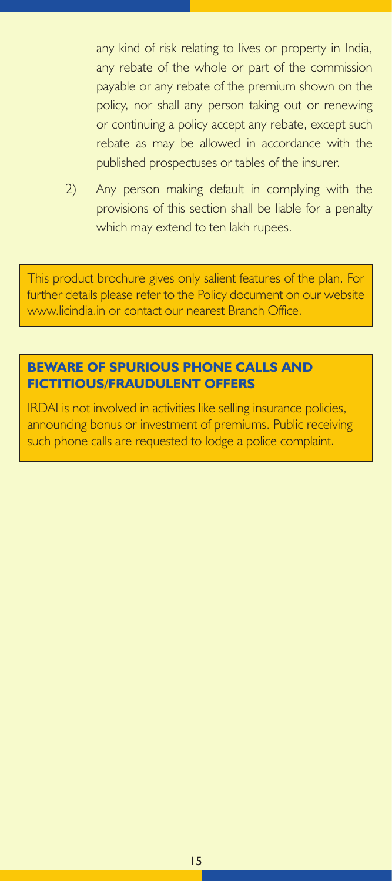any kind of risk relating to lives or property in India, any rebate of the whole or part of the commission payable or any rebate of the premium shown on the policy, nor shall any person taking out or renewing or continuing a policy accept any rebate, except such rebate as may be allowed in accordance with the published prospectuses or tables of the insurer.

2) Any person making default in complying with the provisions of this section shall be liable for a penalty which may extend to ten lakh rupees.

This product brochure gives only salient features of the plan. For further details please refer to the Policy document on our website www.licindia.in or contact our nearest Branch Office.

#### **BEWARE OF SPURIOUS PHONE CALLS AND FICTITIOUS/FRAUDULENT OFFERS**

IRDAI is not involved in activities like selling insurance policies, announcing bonus or investment of premiums. Public receiving such phone calls are requested to lodge a police complaint.